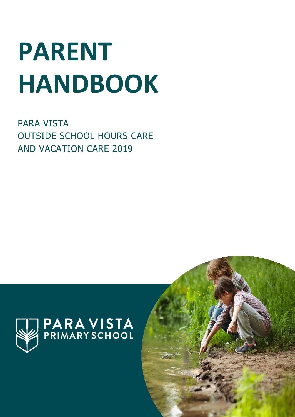# **PARENT HANDBOOK**

PARA VISTA OUTSIDE SCHOOL HOURS CARE AND VACATION CARE 2019



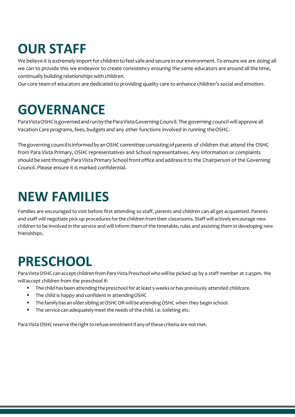# **OUR STAFF**

We believe it is extremely import for children to feel safe and secure in our environment. To ensure we are doing all we can to provide this we endeavor to create consistency ensuring the same educators are around all the time, continually building relationships with children.

Our core team of educators are dedicated to providing quality care to enhance children's social and emotion.

#### **GOVERNANCE**

Para Vista OSHC is governed and run by the Para Vista Governing Council. The governing council will approve all Vacation Care programs, fees, budgets and any other functions involved in running the OSHC.

The governing council is informed by an OSHC committee consisting of parents of children that attend the OSHC from Para Vista Primary, OSHC representatives and School representatives. Any information or complaints should be sent through Para Vista Primary School front office and address it to the Chairperson of the Governing Council. Please ensure it is marked confidential.

#### **NEW FAMILIES**

Families are encouraged to visit before first attending so staff, parents and children can all get acquainted. Parents and staff will negotiate pick up procedures forthe children from their classrooms. Staffwill actively encourage new children to be involved in the service and will inform them of the timetable, rules and assisting them in developing new friendships.

## **PRESCHOOL**

Para Vista OSHC can accept children from Para Vista Preschool who will be picked up by a staff member at 2:45pm. We willaccept children from the preschool if:

- **The child has been attending the preschool for at least 5 weeks or has previously attended childcare.**
- The child is happy and confident in attending OSHC
- The family has an older sibling at OSHCOR will be attending OSHC when they begin school.
- The service can adequately meet the needs of the child. i.e. toileting etc.

Para Vista OSHC reserve the right to refuse enrolment if any of these criteria are not met.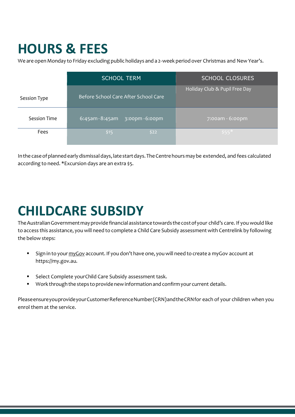## **HOURS & FEES**

We are open Monday to Friday excluding public holidays and a 2-week period over Christmas and New Year's.

|                     | <b>SCHOOL TERM</b>                       | <b>SCHOOL CLOSURES</b>        |  |
|---------------------|------------------------------------------|-------------------------------|--|
| Session Type        | Before School Care After School Care     | Holiday Club & Pupil Free Day |  |
| <b>Session Time</b> | $6:45$ am - $8:45$ am<br>3:00pm - 6:00pm | 7:00am - 6:00pm               |  |
| Fees                | \$15<br>\$22                             | $$55*$                        |  |

In the case of planned early dismissal days, late start days. The Centre hours may be extended, and fees calculated according to need. \*Excursion days are an extra \$5.

# **CHILDCARE SUBSIDY**

The Australian Government may provide financial assistance towards the cost of your child's care. If you would like to access this assistance, you will need to complete a Child Care Subsidy assessment with Centrelink by following the below steps:

- Sign in to your myGov account. If you don't have one, you will need to create a myGov account at https://my.gov.au.
- **Select Complete yourChild Care Subsidy assessment task.**
- " Work through the steps to provide new information and confirm your current details.

PleaseensureyouprovideyourCustomerReferenceNumber(CRN)andtheCRNfor each of your children when you enrol them at the service.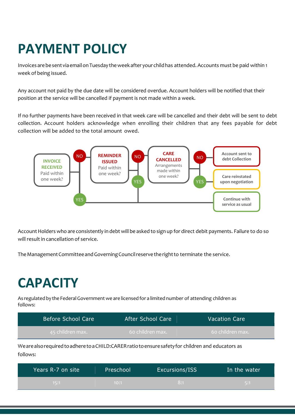# **PAYMENT POLICY**

Invoices arebesentviaemailonTuesday theweekafter your childhas attended. Accounts must be paid within 1 week of being issued.

Any account not paid by the due date will be considered overdue. Account holders will be notified that their position at the service will be cancelled if payment is not made within a week.

If no further payments have been received in that week care will be cancelled and their debt will be sent to debt collection. Account holders acknowledge when enrolling their children that any fees payable for debt collection will be added to the total amount owed.



Account Holders who are consistently in debt will be asked to sign up for direct debit payments. Failure to do so will result in cancellation of service.

TheManagementCommitteeandGoverningCouncilreservetherightto terminate the service.

## **CAPACITY**

As regulated by the Federal Government we are licensed for a limited number of attending children as follows:

| Before School Care | After School Care | <b>Vacation Care</b> |
|--------------------|-------------------|----------------------|
| 45 children max.   | -60 children max. | - 60 children max.   |

WearealsorequiredtoadheretoaCHILD:CARERratiotoensuresafetyfor children and educators as follows:

| Years R-7 on site | Preschool | Excursions/ISS | In the water |
|-------------------|-----------|----------------|--------------|
| 15:1              | 10:1      | 8:1            | \ 5:1\       |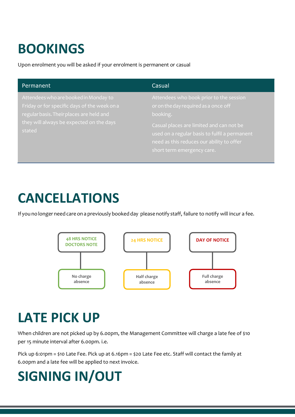# **BOOKINGS**

Upon enrolment you will be asked if your enrolment is permanent or casual

| Permanent                                                                                                                                                                               | Casual                                                                                                                                                                                                                                                              |
|-----------------------------------------------------------------------------------------------------------------------------------------------------------------------------------------|---------------------------------------------------------------------------------------------------------------------------------------------------------------------------------------------------------------------------------------------------------------------|
| Attendees who are booked in Monday to<br>Friday or for specific days of the week on a<br>regular basis. Their places are held and<br>they will always be expected on the days<br>stated | Attendees who book prior to the session<br>or on the day required as a once off<br>booking.<br>Casual places are limited and can not be<br>used on a regular basis to fulfil a permanent<br>need as this reduces our ability to offer<br>short term emergency care. |

#### **CANCELLATIONS**

If you no longer need care on a previously booked day please notify staff, failure to notify will incur a fee.



## **LATE PICK UP**

When children are not picked up by 6.00pm, the Management Committee will charge a late fee of \$10 per 15 minute interval after 6.00pm. i.e.

Pick up 6:01pm = \$10 Late Fee. Pick up at 6.16pm = \$20 Late Fee etc. Staff will contact the family at 6.00pm and a late fee will be applied to next invoice.

# **SIGNING IN/OUT**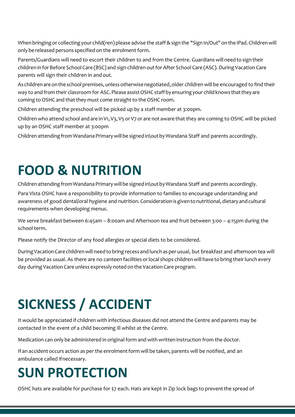When bringing or collecting your child(ren) please advise the staff&sign the "Sign In/Out" on the iPad. Children will only be released persons specified on the enrolment form.

Parents/Guardians will need to escort their children to and from the Centre. Guardians will needtosign their children in for Before School Care (BSC) and sign children out for After School Care (ASC). During Vacation Care parents will sign their children in and out.

As children are on the school premises, unless otherwise negotiated, older children will be encouraged to find their way to and from their classroom for ASC. Please assist OSHC staff by ensuring your child knows that they are coming to OSHC and that they must come straight to the OSHC room.

Children attending the preschool will be picked up by a staff member at 3:00pm.

Children who attend school and are in V1, V3, V5 or V7 or are not aware that they are coming to OSHC will be picked up by an OSHC staff member at 3:00pm

Children attending from Wandana Primary will be signed in\out by Wandana Staff and parents accordingly.

## **FOOD & NUTRITION**

Children attending from Wandana Primary will be signed in\out by Wandana Staff and parents accordingly.

Para Vista OSHC have a responsibility to provide information to families to encourage understanding and awareness of good dental/oral hygiene and nutrition. Consideration is given to nutritional, dietary and cultural requirements when developing menus.

We serve breakfast between 6:45am – 8:00am and Afternoon tea and fruit between 3:00 – 4:15pm during the school term.

Please notify the Director of any food allergies or special diets to be considered.

DuringVacationCare childrenwill need tobring recess and lunch as per usual, but breakfast and afternoon tea will be provided as usual. As there are no canteen facilities or local shops children will have to bring their lunch every day during Vacation Care unless expressly noted on the Vacation Care program.

# **SICKNESS / ACCIDENT**

It would be appreciated if children with infectious diseases did not attend the Centre and parents may be contacted in the event of a child becoming ill whilst at the Centre.

Medication can only be administered in original form and with written instruction from the doctor.

If an accident occurs action as per the enrolment form will be taken, parents will be notified, and an ambulance called ifnecessary.

#### **SUN PROTECTION**

OSHC hats are available for purchase for \$7 each. Hats are kept in Zip lock bags to preventthe spread of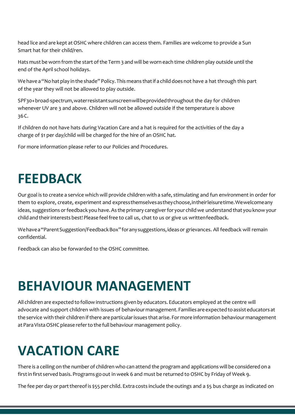head lice and are kept at OSHC where children can access them. Families are welcome to provide a Sun Smart hat for their child/ren.

Hats must be worn from the start of the Term 3 and will be worn each time children play outside until the end of the April school holidays.

We have a "No hat play in the shade" Policy. This means that if a child does not have a hat through this part of the year they will not be allowed to play outside.

SPF30+broad-spectrum,waterresistantsunscreenwillbeprovidedthroughout the day for children whenever UV are 3 and above. Children will not be allowed outside if the temperature is above 36C.

If children do not have hats during Vacation Care and a hat is required for the activities of the day a charge of \$1 per day/child will be charged for the hire of an OSHC hat.

For more information please refer to our Policies and Procedures.

#### **FEEDBACK**

Our goal is to create a service which will provide children with a safe, stimulating and fun environment in order for them to explore, create, experiment and expressthemselvesastheychoose,intheirleisuretime.Wewelcomeany ideas, suggestions or feedback you have. As the primary caregiver for your child we understand that you know your child and their interests best! Please feel free to call us, chat to us or give us writtenfeedback.

Wehavea"ParentSuggestion/FeedbackBox"foranysuggestions,ideasor grievances. All feedback will remain confidential.

Feedback can also be forwarded to the OSHC committee.

#### **BEHAVIOUR MANAGEMENT**

All children are expected to followinstructions given by educators. Educators employed at the centre will advocate and support children with issues of behaviour management. Families are expected to assist educators at the service with their children if there are particular issues that arise. For more information behaviour management at Para Vista OSHC please refer to the full behaviour management policy.

#### **VACATION CARE**

There is a ceiling on the number of children who can attend the program and applications will be considered on a firstin first served basis.Programs goout in week 6 and must be returned to OSHC by Friday of Week 9.

The fee per day or part thereof is \$55 per child. Extra costs include the outings and a \$5 bus charge as indicated on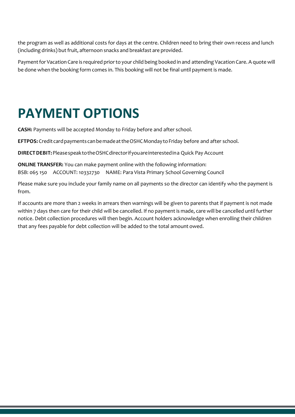the program as well as additional costs for days at the centre. Children need to bring their own recess and lunch (including drinks) but fruit, afternoon snacks and breakfast are provided.

Payment for Vacation Care is required prior to your child being booked in and attending Vacation Care. A quote will be done when the booking form comes in. This booking will not be final until payment is made.

## **PAYMENT OPTIONS**

**CASH:** Payments will be accepted Monday to Friday before and after school.

EFTPOS: Credit card payments can be made at the OSHC Monday to Friday before and after school.

**DIRECTDEBIT:**PleasespeaktotheOSHCdirectorifyouareinterestedina Quick Pay Account

**ONLINE TRANSFER:** You can make payment online with the following information: BSB: 065 150 ACCOUNT: 10332730 NAME: Para Vista Primary School Governing Council

Please make sure you include your family name on all payments so the director can identify who the payment is from.

If accounts are more than 2 weeks in arrears then warnings will be given to parents that if payment is not made within 7 days then care for their child will be cancelled. If no payment is made, care will be cancelled until further notice. Debt collection procedures will then begin. Account holders acknowledge when enrolling their children that any fees payable for debt collection will be added to the total amount owed.